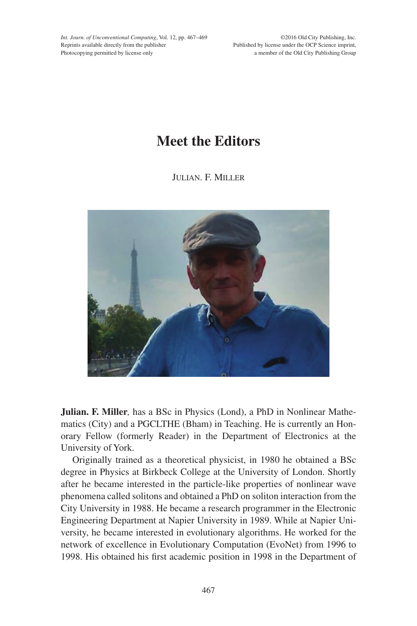*Int. Journ. of Unconventional Computing*, Vol. 12, pp. 467–469 Reprints available directly from the publisher Photocopying permitted by license only

©2016 Old City Publishing, Inc. Published by license under the OCP Science imprint, a member of the Old City Publishing Group

## **Meet the Editors**

Julian. F. Miller



**Julian. F. Miller***,* has a BSc in Physics (Lond), a PhD in Nonlinear Mathematics (City) and a PGCLTHE (Bham) in Teaching. He is currently an Honorary Fellow (formerly Reader) in the Department of Electronics at the University of York.

Originally trained as a theoretical physicist, in 1980 he obtained a BSc degree in Physics at Birkbeck College at the University of London. Shortly after he became interested in the particle-like properties of nonlinear wave phenomena called solitons and obtained a PhD on soliton interaction from the City University in 1988. He became a research programmer in the Electronic Engineering Department at Napier University in 1989. While at Napier University, he became interested in evolutionary algorithms. He worked for the network of excellence in Evolutionary Computation (EvoNet) from 1996 to 1998. His obtained his first academic position in 1998 in the Department of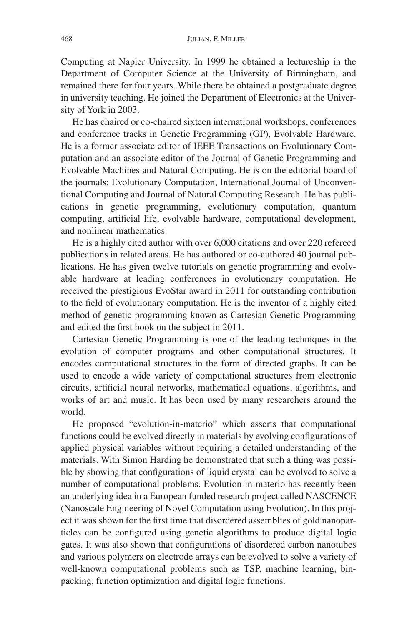Computing at Napier University. In 1999 he obtained a lectureship in the Department of Computer Science at the University of Birmingham, and remained there for four years. While there he obtained a postgraduate degree in university teaching. He joined the Department of Electronics at the University of York in 2003.

He has chaired or co-chaired sixteen international workshops, conferences and conference tracks in Genetic Programming (GP), Evolvable Hardware. He is a former associate editor of IEEE Transactions on Evolutionary Computation and an associate editor of the Journal of Genetic Programming and Evolvable Machines and Natural Computing. He is on the editorial board of the journals: Evolutionary Computation, International Journal of Unconventional Computing and Journal of Natural Computing Research. He has publications in genetic programming, evolutionary computation, quantum computing, artificial life, evolvable hardware, computational development, and nonlinear mathematics.

He is a highly cited author with over 6,000 citations and over 220 refereed publications in related areas. He has authored or co-authored 40 journal publications. He has given twelve tutorials on genetic programming and evolvable hardware at leading conferences in evolutionary computation. He received the prestigious EvoStar award in 2011 for outstanding contribution to the field of evolutionary computation. He is the inventor of a highly cited method of genetic programming known as Cartesian Genetic Programming and edited the first book on the subject in 2011.

Cartesian Genetic Programming is one of the leading techniques in the evolution of computer programs and other computational structures. It encodes computational structures in the form of directed graphs. It can be used to encode a wide variety of computational structures from electronic circuits, artificial neural networks, mathematical equations, algorithms, and works of art and music. It has been used by many researchers around the world.

He proposed "evolution-in-materio" which asserts that computational functions could be evolved directly in materials by evolving configurations of applied physical variables without requiring a detailed understanding of the materials. With Simon Harding he demonstrated that such a thing was possible by showing that configurations of liquid crystal can be evolved to solve a number of computational problems. Evolution-in-materio has recently been an underlying idea in a European funded research project called NASCENCE (Nanoscale Engineering of Novel Computation using Evolution). In this project it was shown for the first time that disordered assemblies of gold nanoparticles can be configured using genetic algorithms to produce digital logic gates. It was also shown that configurations of disordered carbon nanotubes and various polymers on electrode arrays can be evolved to solve a variety of well-known computational problems such as TSP, machine learning, binpacking, function optimization and digital logic functions.